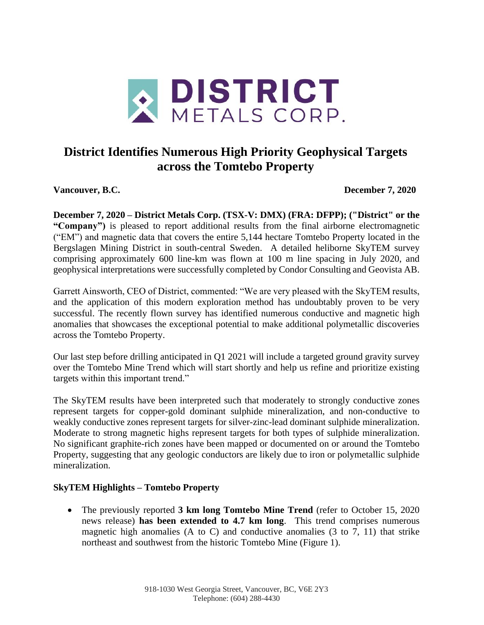

# **District Identifies Numerous High Priority Geophysical Targets across the Tomtebo Property**

**Vancouver, B.C. December 7, 2020**

**December 7, 2020 – District Metals Corp. (TSX-V: DMX) (FRA: DFPP); ("District" or the "Company")** is pleased to report additional results from the final airborne electromagnetic ("EM") and magnetic data that covers the entire 5,144 hectare Tomtebo Property located in the Bergslagen Mining District in south-central Sweden. A detailed heliborne SkyTEM survey comprising approximately 600 line-km was flown at 100 m line spacing in July 2020, and geophysical interpretations were successfully completed by Condor Consulting and Geovista AB.

Garrett Ainsworth, CEO of District, commented: "We are very pleased with the SkyTEM results, and the application of this modern exploration method has undoubtably proven to be very successful. The recently flown survey has identified numerous conductive and magnetic high anomalies that showcases the exceptional potential to make additional polymetallic discoveries across the Tomtebo Property.

Our last step before drilling anticipated in Q1 2021 will include a targeted ground gravity survey over the Tomtebo Mine Trend which will start shortly and help us refine and prioritize existing targets within this important trend."

The SkyTEM results have been interpreted such that moderately to strongly conductive zones represent targets for copper-gold dominant sulphide mineralization, and non-conductive to weakly conductive zones represent targets for silver-zinc-lead dominant sulphide mineralization. Moderate to strong magnetic highs represent targets for both types of sulphide mineralization. No significant graphite-rich zones have been mapped or documented on or around the Tomtebo Property, suggesting that any geologic conductors are likely due to iron or polymetallic sulphide mineralization.

### **SkyTEM Highlights – Tomtebo Property**

• The previously reported **3 km long Tomtebo Mine Trend** (refer to October 15, 2020 news release) **has been extended to 4.7 km long**. This trend comprises numerous magnetic high anomalies (A to C) and conductive anomalies (3 to 7, 11) that strike northeast and southwest from the historic Tomtebo Mine (Figure 1).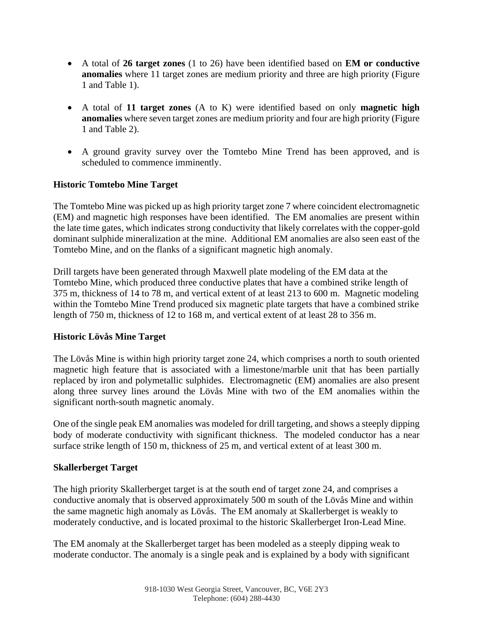- A total of **26 target zones** (1 to 26) have been identified based on **EM or conductive anomalies** where 11 target zones are medium priority and three are high priority (Figure 1 and Table 1).
- A total of **11 target zones** (A to K) were identified based on only **magnetic high anomalies** where seven target zones are medium priority and four are high priority (Figure 1 and Table 2).
- A ground gravity survey over the Tomtebo Mine Trend has been approved, and is scheduled to commence imminently.

#### **Historic Tomtebo Mine Target**

The Tomtebo Mine was picked up as high priority target zone 7 where coincident electromagnetic (EM) and magnetic high responses have been identified. The EM anomalies are present within the late time gates, which indicates strong conductivity that likely correlates with the copper-gold dominant sulphide mineralization at the mine. Additional EM anomalies are also seen east of the Tomtebo Mine, and on the flanks of a significant magnetic high anomaly.

Drill targets have been generated through Maxwell plate modeling of the EM data at the Tomtebo Mine, which produced three conductive plates that have a combined strike length of 375 m, thickness of 14 to 78 m, and vertical extent of at least 213 to 600 m. Magnetic modeling within the Tomtebo Mine Trend produced six magnetic plate targets that have a combined strike length of 750 m, thickness of 12 to 168 m, and vertical extent of at least 28 to 356 m.

#### **Historic Lövås Mine Target**

The Lövås Mine is within high priority target zone 24, which comprises a north to south oriented magnetic high feature that is associated with a limestone/marble unit that has been partially replaced by iron and polymetallic sulphides. Electromagnetic (EM) anomalies are also present along three survey lines around the Lövås Mine with two of the EM anomalies within the significant north-south magnetic anomaly.

One of the single peak EM anomalies was modeled for drill targeting, and shows a steeply dipping body of moderate conductivity with significant thickness. The modeled conductor has a near surface strike length of 150 m, thickness of 25 m, and vertical extent of at least 300 m.

#### **Skallerberget Target**

The high priority Skallerberget target is at the south end of target zone 24, and comprises a conductive anomaly that is observed approximately 500 m south of the Lövås Mine and within the same magnetic high anomaly as Lövås. The EM anomaly at Skallerberget is weakly to moderately conductive, and is located proximal to the historic Skallerberget Iron-Lead Mine.

The EM anomaly at the Skallerberget target has been modeled as a steeply dipping weak to moderate conductor. The anomaly is a single peak and is explained by a body with significant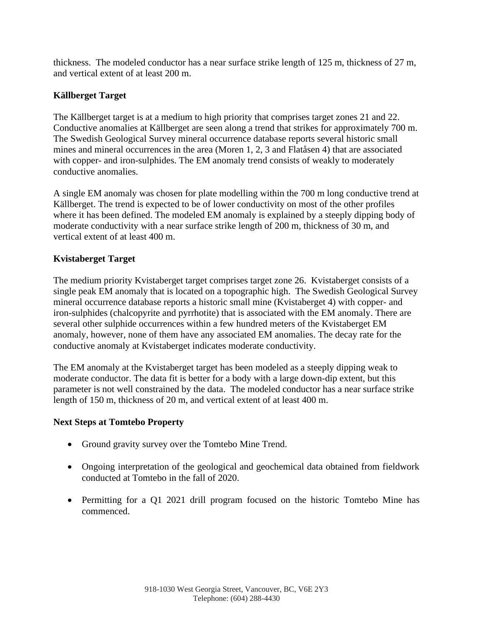thickness. The modeled conductor has a near surface strike length of 125 m, thickness of 27 m, and vertical extent of at least 200 m.

### **Källberget Target**

The Källberget target is at a medium to high priority that comprises target zones 21 and 22. Conductive anomalies at Källberget are seen along a trend that strikes for approximately 700 m. The Swedish Geological Survey mineral occurrence database reports several historic small mines and mineral occurrences in the area (Moren 1, 2, 3 and Flatåsen 4) that are associated with copper- and iron-sulphides. The EM anomaly trend consists of weakly to moderately conductive anomalies.

A single EM anomaly was chosen for plate modelling within the 700 m long conductive trend at Källberget. The trend is expected to be of lower conductivity on most of the other profiles where it has been defined. The modeled EM anomaly is explained by a steeply dipping body of moderate conductivity with a near surface strike length of 200 m, thickness of 30 m, and vertical extent of at least 400 m.

## **Kvistaberget Target**

The medium priority Kvistaberget target comprises target zone 26. Kvistaberget consists of a single peak EM anomaly that is located on a topographic high. The Swedish Geological Survey mineral occurrence database reports a historic small mine (Kvistaberget 4) with copper- and iron-sulphides (chalcopyrite and pyrrhotite) that is associated with the EM anomaly. There are several other sulphide occurrences within a few hundred meters of the Kvistaberget EM anomaly, however, none of them have any associated EM anomalies. The decay rate for the conductive anomaly at Kvistaberget indicates moderate conductivity.

The EM anomaly at the Kvistaberget target has been modeled as a steeply dipping weak to moderate conductor. The data fit is better for a body with a large down-dip extent, but this parameter is not well constrained by the data. The modeled conductor has a near surface strike length of 150 m, thickness of 20 m, and vertical extent of at least 400 m.

### **Next Steps at Tomtebo Property**

- Ground gravity survey over the Tomtebo Mine Trend.
- Ongoing interpretation of the geological and geochemical data obtained from fieldwork conducted at Tomtebo in the fall of 2020.
- Permitting for a Q1 2021 drill program focused on the historic Tomtebo Mine has commenced.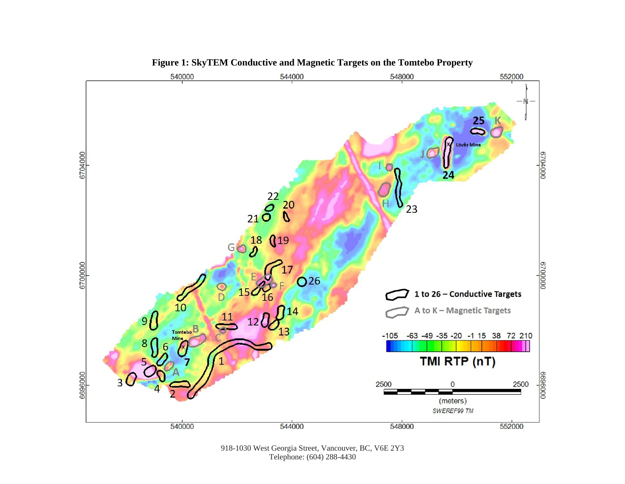

**Figure 1: SkyTEM Conductive and Magnetic Targets on the Tomtebo Property**

918-1030 West Georgia Street, Vancouver, BC, V6E 2Y3 Telephone: (604) 288-4430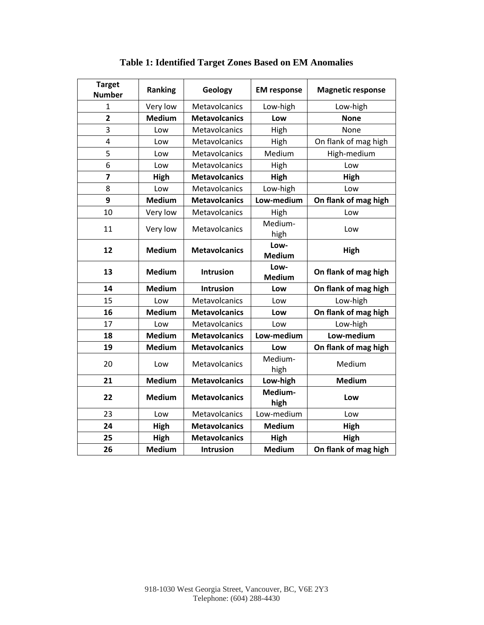| <b>Target</b><br><b>Number</b> | Ranking       | Geology              | <b>EM</b> response    | <b>Magnetic response</b> |
|--------------------------------|---------------|----------------------|-----------------------|--------------------------|
| 1                              | Very low      | Metavolcanics        | Low-high              | Low-high                 |
| $\overline{2}$                 | <b>Medium</b> | <b>Metavolcanics</b> | Low                   | <b>None</b>              |
| 3                              | Low           | Metavolcanics        | High                  | None                     |
| 4                              | Low           | Metavolcanics        | High                  | On flank of mag high     |
| 5                              | Low           | Metavolcanics        | Medium                | High-medium              |
| 6                              | Low           | Metavolcanics        | High                  | Low                      |
| $\overline{z}$                 | High          | <b>Metavolcanics</b> | High                  | High                     |
| 8                              | Low           | Metavolcanics        | Low-high              | Low                      |
| 9                              | <b>Medium</b> | <b>Metavolcanics</b> | Low-medium            | On flank of mag high     |
| 10                             | Very low      | Metavolcanics        | High                  | Low                      |
| 11                             | Very low      | Metavolcanics        | Medium-<br>high       | Low                      |
| 12                             | <b>Medium</b> | <b>Metavolcanics</b> | Low-<br><b>Medium</b> | High                     |
| 13                             | <b>Medium</b> | Intrusion            | Low-<br><b>Medium</b> | On flank of mag high     |
| 14                             | <b>Medium</b> | <b>Intrusion</b>     | Low                   | On flank of mag high     |
| 15                             | Low           | Metavolcanics        | Low                   | Low-high                 |
| 16                             | <b>Medium</b> | <b>Metavolcanics</b> | Low                   | On flank of mag high     |
| 17                             | Low           | Metavolcanics        | Low                   | Low-high                 |
| 18                             | <b>Medium</b> | <b>Metavolcanics</b> | Low-medium            | Low-medium               |
| 19                             | <b>Medium</b> | <b>Metavolcanics</b> | Low                   | On flank of mag high     |
| 20                             | Low           | Metavolcanics        | Medium-<br>high       | Medium                   |
| 21                             | <b>Medium</b> | <b>Metavolcanics</b> | Low-high              | <b>Medium</b>            |
| 22                             | <b>Medium</b> | <b>Metavolcanics</b> | Medium-<br>high       | Low                      |
| 23                             | Low           | Metavolcanics        | Low-medium            | Low                      |
| 24                             | High          | <b>Metavolcanics</b> | <b>Medium</b>         | High                     |
| 25                             | <b>High</b>   | <b>Metavolcanics</b> | <b>High</b>           | High                     |
| 26                             | <b>Medium</b> | Intrusion            | <b>Medium</b>         | On flank of mag high     |

**Table 1: Identified Target Zones Based on EM Anomalies**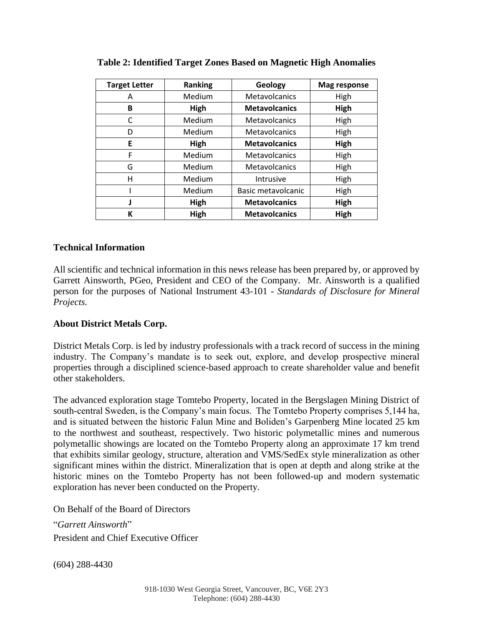| <b>Target Letter</b> | Ranking | Geology              | <b>Mag response</b> |
|----------------------|---------|----------------------|---------------------|
| Α                    | Medium  | Metavolcanics        | High                |
| B                    | High    | <b>Metavolcanics</b> | High                |
| C                    | Medium  | Metavolcanics        | High                |
| D                    | Medium  | Metavolcanics        | High                |
| E                    | High    | <b>Metavolcanics</b> | High                |
| F                    | Medium  | Metavolcanics        | High                |
| G                    | Medium  | Metavolcanics        | High                |
| н                    | Medium  | Intrusive            | High                |
|                      | Medium  | Basic metavolcanic   | High                |
|                      | High    | <b>Metavolcanics</b> | High                |
| К                    | High    | <b>Metavolcanics</b> | High                |

**Table 2: Identified Target Zones Based on Magnetic High Anomalies**

#### **Technical Information**

All scientific and technical information in this news release has been prepared by, or approved by Garrett Ainsworth, PGeo, President and CEO of the Company. Mr. Ainsworth is a qualified person for the purposes of National Instrument 43-101 - *Standards of Disclosure for Mineral Projects.*

### **About District Metals Corp.**

District Metals Corp. is led by industry professionals with a track record of success in the mining industry. The Company's mandate is to seek out, explore, and develop prospective mineral properties through a disciplined science-based approach to create shareholder value and benefit other stakeholders.

The advanced exploration stage Tomtebo Property, located in the Bergslagen Mining District of south-central Sweden, is the Company's main focus. The Tomtebo Property comprises 5,144 ha, and is situated between the historic Falun Mine and Boliden's Garpenberg Mine located 25 km to the northwest and southeast, respectively. Two historic polymetallic mines and numerous polymetallic showings are located on the Tomtebo Property along an approximate 17 km trend that exhibits similar geology, structure, alteration and VMS/SedEx style mineralization as other significant mines within the district. Mineralization that is open at depth and along strike at the historic mines on the Tomtebo Property has not been followed-up and modern systematic exploration has never been conducted on the Property.

On Behalf of the Board of Directors

"*Garrett Ainsworth*" President and Chief Executive Officer

(604) 288-4430